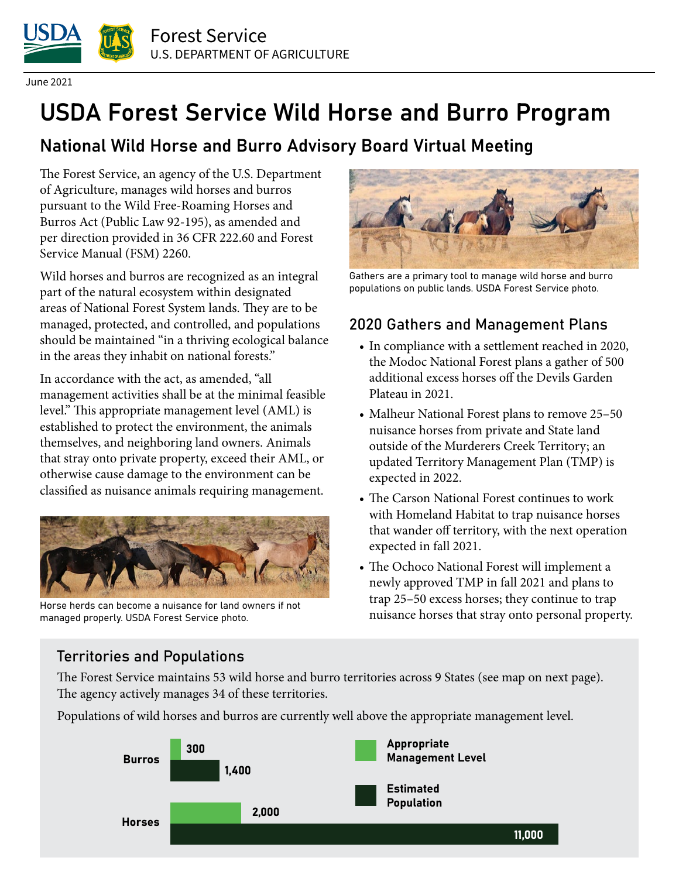

June 2021

# USDA Forest Service Wild Horse and Burro Program

## National Wild Horse and Burro Advisory Board Virtual Meeting

The Forest Service, an agency of the U.S. Department of Agriculture, manages wild horses and burros pursuant to the Wild Free-Roaming Horses and Burros Act (Public Law 92-195), as amended and per direction provided in 36 CFR 222.60 and Forest Service Manual (FSM) 2260.

Wild horses and burros are recognized as an integral part of the natural ecosystem within designated areas of National Forest System lands. They are to be managed, protected, and controlled, and populations should be maintained "in a thriving ecological balance in the areas they inhabit on national forests."

In accordance with the act, as amended, "all management activities shall be at the minimal feasible level." This appropriate management level (AML) is established to protect the environment, the animals themselves, and neighboring land owners. Animals that stray onto private property, exceed their AML, or otherwise cause damage to the environment can be classified as nuisance animals requiring management.



Horse herds can become a nuisance for land owners if not managed properly. USDA Forest Service photo.



Gathers are a primary tool to manage wild horse and burro populations on public lands. USDA Forest Service photo.

### 2020 Gathers and Management Plans

- In compliance with a settlement reached in 2020, the Modoc National Forest plans a gather of 500 additional excess horses off the Devils Garden Plateau in 2021.
- Malheur National Forest plans to remove 25–50 nuisance horses from private and State land outside of the Murderers Creek Territory; an updated Territory Management Plan (TMP) is expected in 2022.
- The Carson National Forest continues to work with Homeland Habitat to trap nuisance horses that wander off territory, with the next operation expected in fall 2021.
- The Ochoco National Forest will implement a newly approved TMP in fall 2021 and plans to trap 25–50 excess horses; they continue to trap nuisance horses that stray onto personal property.

#### Territories and Populations

The Forest Service maintains 53 wild horse and burro territories across 9 States (see map on next page). The agency actively manages 34 of these territories.

Populations of wild horses and burros are currently well above the appropriate management level.